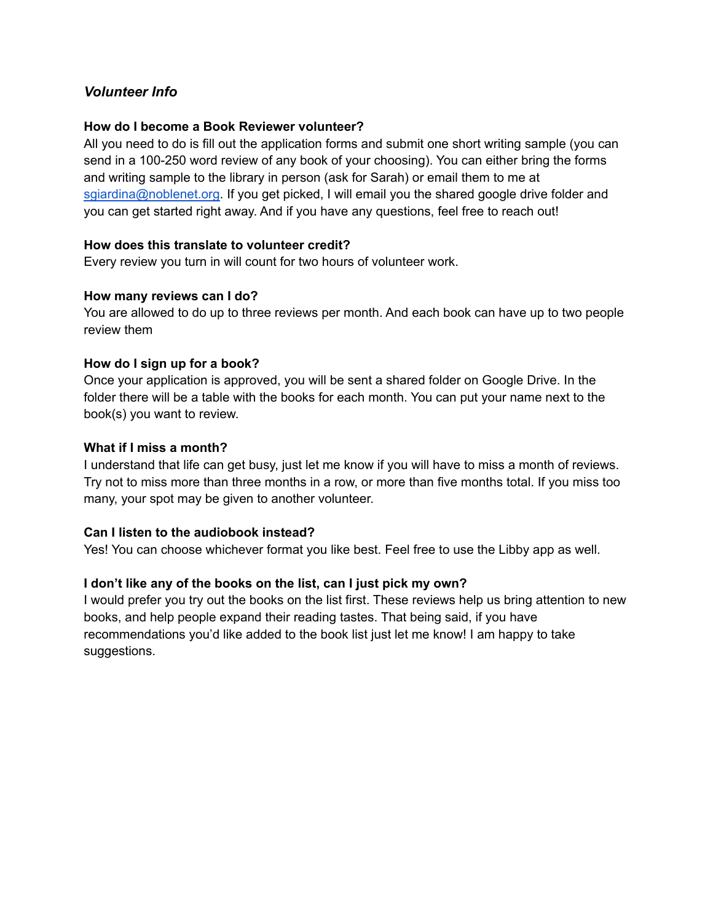# *Volunteer Info*

#### **How do I become a Book Reviewer volunteer?**

All you need to do is fill out the application forms and submit one short writing sample (you can send in a 100-250 word review of any book of your choosing). You can either bring the forms and writing sample to the library in person (ask for Sarah) or email them to me at [sgiardina@noblenet.org.](mailto:sgiardina@noblenet.org) If you get picked, I will email you the shared google drive folder and you can get started right away. And if you have any questions, feel free to reach out!

## **How does this translate to volunteer credit?**

Every review you turn in will count for two hours of volunteer work.

#### **How many reviews can I do?**

You are allowed to do up to three reviews per month. And each book can have up to two people review them

## **How do I sign up for a book?**

Once your application is approved, you will be sent a shared folder on Google Drive. In the folder there will be a table with the books for each month. You can put your name next to the book(s) you want to review.

#### **What if I miss a month?**

I understand that life can get busy, just let me know if you will have to miss a month of reviews. Try not to miss more than three months in a row, or more than five months total. If you miss too many, your spot may be given to another volunteer.

#### **Can I listen to the audiobook instead?**

Yes! You can choose whichever format you like best. Feel free to use the Libby app as well.

# **I don't like any of the books on the list, can I just pick my own?**

I would prefer you try out the books on the list first. These reviews help us bring attention to new books, and help people expand their reading tastes. That being said, if you have recommendations you'd like added to the book list just let me know! I am happy to take suggestions.